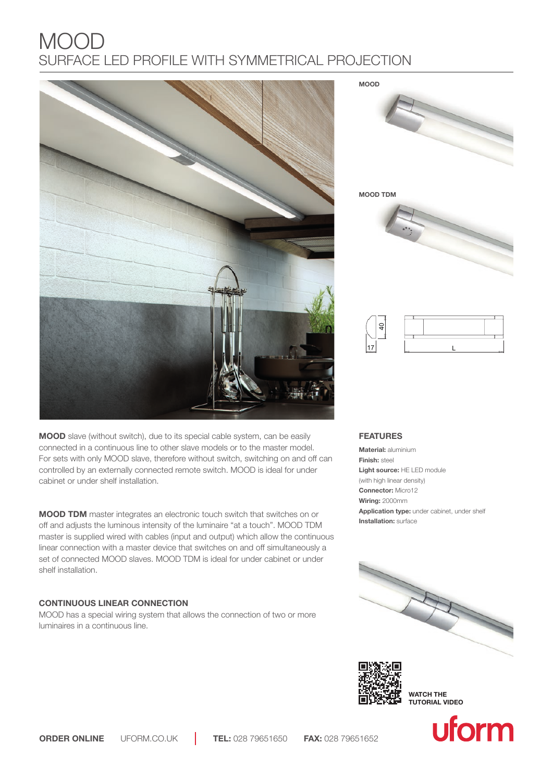# MOOD SURFACE LED PROFILE WITH SYMMETRICAL PROJECTION



**MOOD** slave (without switch), due to its special cable system, can be easily connected in a continuous line to other slave models or to the master model. For sets with only MOOD slave, therefore without switch, switching on and off can controlled by an externally connected remote switch. MOOD is ideal for under cabinet or under shelf installation.

**MOOD TDM** master integrates an electronic touch switch that switches on or off and adjusts the luminous intensity of the luminaire "at a touch". MOOD TDM master is supplied wired with cables (input and output) which allow the continuous linear connection with a master device that switches on and off simultaneously a set of connected MOOD slaves. MOOD TDM is ideal for under cabinet or under shelf installation.

# **CONTINUOUS LINEAR CONNECTION**

MOOD has a special wiring system that allows the connection of two or more luminaires in a continuous line.

**MOOD**



**MOOD TDM**



| z<br>≍ |  |  |
|--------|--|--|
|        |  |  |
|        |  |  |
|        |  |  |

## **FEATURES**

**Material:** aluminium **Finish:** steel **Light source:** HE LED module (with high linear density) **Connector:** Micro12 **Wiring:** 2000mm **Application type:** under cabinet, under shelf **Installation:** surface





**WATCH THE TUTORIAL VIDEO**